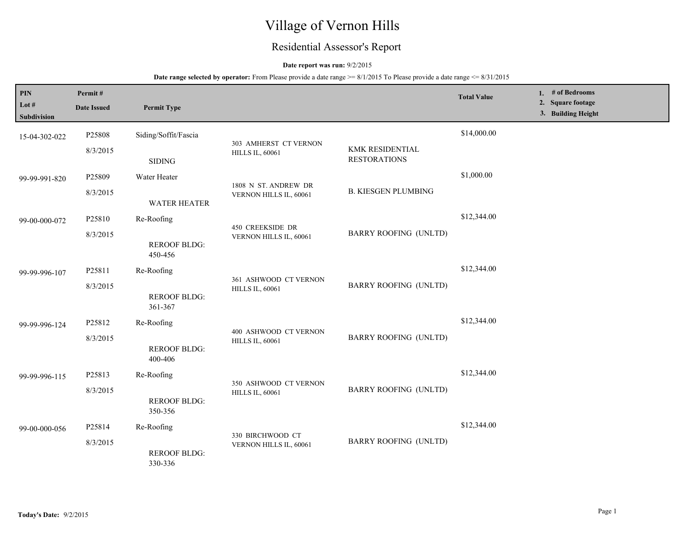# Village of Vernon Hills

# Residential Assessor's Report

# **Date report was run:** 9/2/2015

| PIN<br>Lot #<br><b>Subdivision</b> | Permit#<br><b>Date Issued</b> | <b>Permit Type</b>                           |                                                   |                                        | <b>Total Value</b> | 1. $#$ of Bedrooms<br>2. Square footage<br>3. Building Height |
|------------------------------------|-------------------------------|----------------------------------------------|---------------------------------------------------|----------------------------------------|--------------------|---------------------------------------------------------------|
| 15-04-302-022                      | P25808<br>8/3/2015            | Siding/Soffit/Fascia<br><b>SIDING</b>        | 303 AMHERST CT VERNON<br><b>HILLS IL, 60061</b>   | KMK RESIDENTIAL<br><b>RESTORATIONS</b> | \$14,000.00        |                                                               |
| 99-99-991-820                      | P25809<br>8/3/2015            | Water Heater<br>WATER HEATER                 | 1808 N ST. ANDREW DR<br>VERNON HILLS IL, 60061    | <b>B. KIESGEN PLUMBING</b>             | \$1,000.00         |                                                               |
| 99-00-000-072                      | P25810<br>8/3/2015            | Re-Roofing<br><b>REROOF BLDG:</b><br>450-456 | <b>450 CREEKSIDE DR</b><br>VERNON HILLS IL, 60061 | <b>BARRY ROOFING (UNLTD)</b>           | \$12,344.00        |                                                               |
| 99-99-996-107                      | P25811<br>8/3/2015            | Re-Roofing<br><b>REROOF BLDG:</b><br>361-367 | 361 ASHWOOD CT VERNON<br><b>HILLS IL, 60061</b>   | <b>BARRY ROOFING (UNLTD)</b>           | \$12,344.00        |                                                               |
| 99-99-996-124                      | P25812<br>8/3/2015            | Re-Roofing<br><b>REROOF BLDG:</b><br>400-406 | 400 ASHWOOD CT VERNON<br><b>HILLS IL, 60061</b>   | <b>BARRY ROOFING (UNLTD)</b>           | \$12,344.00        |                                                               |
| 99-99-996-115                      | P25813<br>8/3/2015            | Re-Roofing<br><b>REROOF BLDG:</b><br>350-356 | 350 ASHWOOD CT VERNON<br><b>HILLS IL, 60061</b>   | <b>BARRY ROOFING (UNLTD)</b>           | \$12,344.00        |                                                               |
| 99-00-000-056                      | P25814<br>8/3/2015            | Re-Roofing<br><b>REROOF BLDG:</b><br>330-336 | 330 BIRCHWOOD CT<br>VERNON HILLS IL, 60061        | <b>BARRY ROOFING (UNLTD)</b>           | \$12,344.00        |                                                               |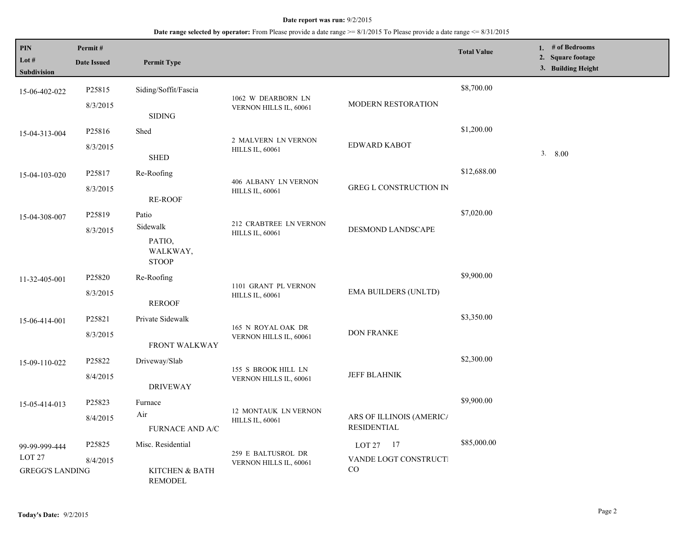| <b>PIN</b><br>Lot $#$<br>Subdivision                         | Permit#<br><b>Date Issued</b> | <b>Permit Type</b>                             |                                                |                                                | <b>Total Value</b> | 1. # of Bedrooms<br>2. Square footage<br>3. Building Height |
|--------------------------------------------------------------|-------------------------------|------------------------------------------------|------------------------------------------------|------------------------------------------------|--------------------|-------------------------------------------------------------|
| 15-06-402-022                                                | P25815                        | Siding/Soffit/Fascia                           |                                                |                                                | \$8,700.00         |                                                             |
|                                                              | 8/3/2015                      | <b>SIDING</b>                                  | 1062 W DEARBORN LN<br>VERNON HILLS IL, 60061   | <b>MODERN RESTORATION</b>                      |                    |                                                             |
| 15-04-313-004                                                | P25816                        | Shed                                           | 2 MALVERN LN VERNON                            |                                                | \$1,200.00         |                                                             |
|                                                              | 8/3/2015                      | <b>SHED</b>                                    | <b>HILLS IL, 60061</b>                         | EDWARD KABOT                                   |                    | 3.800                                                       |
| 15-04-103-020                                                | P25817                        | Re-Roofing                                     | 406 ALBANY LN VERNON                           |                                                | \$12,688.00        |                                                             |
|                                                              | 8/3/2015                      | RE-ROOF                                        | <b>HILLS IL, 60061</b>                         | GREG L CONSTRUCTION IN                         |                    |                                                             |
| 15-04-308-007                                                | P25819                        | Patio                                          | 212 CRABTREE LN VERNON                         |                                                | \$7,020.00         |                                                             |
|                                                              | 8/3/2015                      | Sidewalk<br>PATIO,<br>WALKWAY,<br><b>STOOP</b> | <b>HILLS IL, 60061</b>                         | DESMOND LANDSCAPE                              |                    |                                                             |
| 11-32-405-001                                                | P25820                        | Re-Roofing                                     |                                                |                                                | \$9,900.00         |                                                             |
|                                                              | 8/3/2015                      | <b>REROOF</b>                                  | 1101 GRANT PL VERNON<br><b>HILLS IL, 60061</b> | <b>EMA BUILDERS (UNLTD)</b>                    |                    |                                                             |
| 15-06-414-001                                                | P25821                        | Private Sidewalk                               | 165 N ROYAL OAK DR                             |                                                | \$3,350.00         |                                                             |
|                                                              | 8/3/2015                      | <b>FRONT WALKWAY</b>                           | VERNON HILLS IL, 60061                         | <b>DON FRANKE</b>                              |                    |                                                             |
| 15-09-110-022                                                | P25822                        | Driveway/Slab                                  | 155 S BROOK HILL LN                            |                                                | \$2,300.00         |                                                             |
|                                                              | 8/4/2015                      | <b>DRIVEWAY</b>                                | VERNON HILLS IL, 60061                         | <b>JEFF BLAHNIK</b>                            |                    |                                                             |
| 15-05-414-013                                                | P25823                        | Furnace                                        | 12 MONTAUK LN VERNON                           |                                                | \$9,900.00         |                                                             |
|                                                              | 8/4/2015                      | Air<br><b>FURNACE AND A/C</b>                  | <b>HILLS IL, 60061</b>                         | ARS OF ILLINOIS (AMERICA<br><b>RESIDENTIAL</b> |                    |                                                             |
| 99-99-999-444<br>LOT <sub>27</sub><br><b>GREGG'S LANDING</b> | P25825                        | Misc. Residential                              | 259 E BALTUSROL DR                             | LOT 27 17                                      | \$85,000.00        |                                                             |
|                                                              | 8/4/2015                      | KITCHEN & BATH<br>REMODEL                      | VERNON HILLS IL, 60061                         | VANDE LOGT CONSTRUCTI<br>CO                    |                    |                                                             |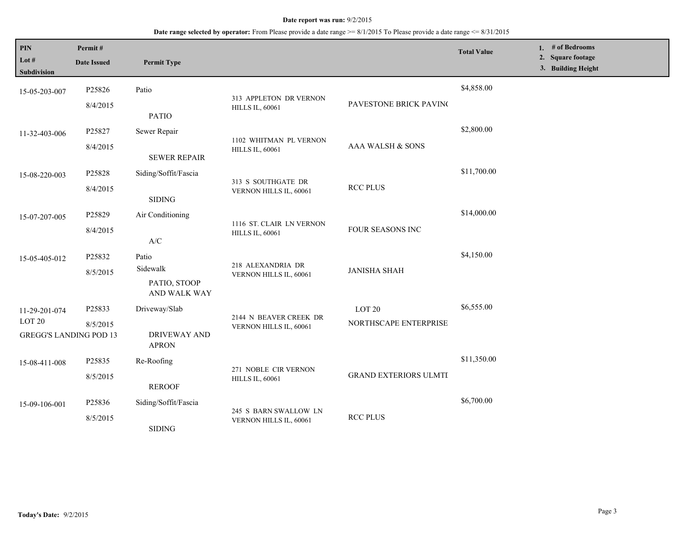| PIN<br>Lot #<br>Subdivision                                         | Permit#<br><b>Date Issued</b> | <b>Permit Type</b>                                   |                                                    |                                            | <b>Total Value</b> | 1. # of Bedrooms<br>2. Square footage<br>3. Building Height |
|---------------------------------------------------------------------|-------------------------------|------------------------------------------------------|----------------------------------------------------|--------------------------------------------|--------------------|-------------------------------------------------------------|
| 15-05-203-007                                                       | P25826<br>8/4/2015            | Patio<br><b>PATIO</b>                                | 313 APPLETON DR VERNON<br><b>HILLS IL, 60061</b>   | PAVESTONE BRICK PAVINC                     | \$4,858.00         |                                                             |
| 11-32-403-006                                                       | P25827<br>8/4/2015            | Sewer Repair<br><b>SEWER REPAIR</b>                  | 1102 WHITMAN PL VERNON<br><b>HILLS IL, 60061</b>   | AAA WALSH & SONS                           | \$2,800.00         |                                                             |
| 15-08-220-003                                                       | P25828<br>8/4/2015            | Siding/Soffit/Fascia<br><b>SIDING</b>                | 313 S SOUTHGATE DR<br>VERNON HILLS IL, 60061       | <b>RCC PLUS</b>                            | \$11,700.00        |                                                             |
| 15-07-207-005                                                       | P25829<br>8/4/2015            | Air Conditioning<br>$\mathbf{A}/\mathbf{C}$          | 1116 ST. CLAIR LN VERNON<br><b>HILLS IL, 60061</b> | FOUR SEASONS INC                           | \$14,000.00        |                                                             |
| 15-05-405-012                                                       | P25832<br>8/5/2015            | Patio<br>Sidewalk<br>PATIO, STOOP<br>AND WALK WAY    | 218 ALEXANDRIA DR<br>VERNON HILLS IL, 60061        | <b>JANISHA SHAH</b>                        | \$4,150.00         |                                                             |
| 11-29-201-074<br>LOT <sub>20</sub><br><b>GREGG'S LANDING POD 13</b> | P25833<br>8/5/2015            | Driveway/Slab<br><b>DRIVEWAY AND</b><br><b>APRON</b> | 2144 N BEAVER CREEK DR<br>VERNON HILLS IL, 60061   | LOT <sub>20</sub><br>NORTHSCAPE ENTERPRISE | \$6,555.00         |                                                             |
| 15-08-411-008                                                       | P25835<br>8/5/2015            | Re-Roofing<br><b>REROOF</b>                          | 271 NOBLE CIR VERNON<br><b>HILLS IL, 60061</b>     | <b>GRAND EXTERIORS ULMTI</b>               | \$11,350.00        |                                                             |
| 15-09-106-001                                                       | P25836<br>8/5/2015            | Siding/Soffit/Fascia<br><b>SIDING</b>                | 245 S BARN SWALLOW LN<br>VERNON HILLS IL, 60061    | <b>RCC PLUS</b>                            | \$6,700.00         |                                                             |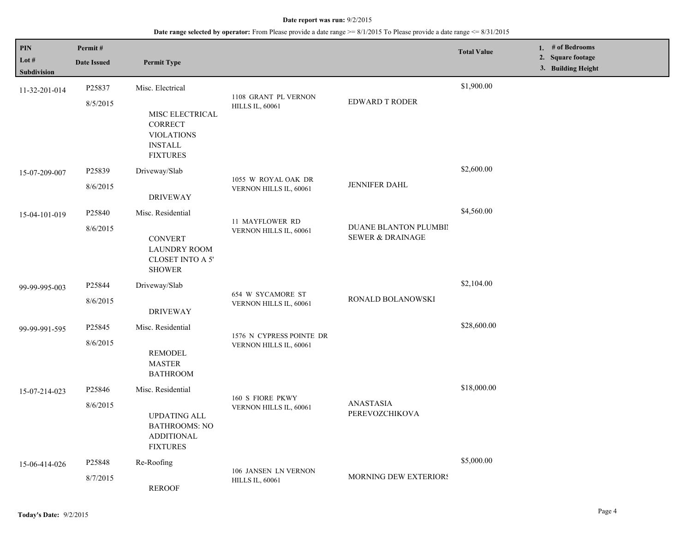| <b>PIN</b><br>Lot #          | Permit#<br><b>Date Issued</b> | <b>Permit Type</b>                                                                                       |                                                    |                                                      | <b>Total Value</b> | 1. # of Bedrooms<br>2. Square footage<br>3. Building Height |
|------------------------------|-------------------------------|----------------------------------------------------------------------------------------------------------|----------------------------------------------------|------------------------------------------------------|--------------------|-------------------------------------------------------------|
| Subdivision<br>11-32-201-014 | P25837<br>8/5/2015            | Misc. Electrical<br>MISC ELECTRICAL<br><b>CORRECT</b><br><b>VIOLATIONS</b>                               | 1108 GRANT PL VERNON<br><b>HILLS IL, 60061</b>     | <b>EDWARD T RODER</b>                                | \$1,900.00         |                                                             |
| 15-07-209-007                | P25839                        | <b>INSTALL</b><br><b>FIXTURES</b><br>Driveway/Slab                                                       | 1055 W ROYAL OAK DR                                |                                                      | \$2,600.00         |                                                             |
|                              | 8/6/2015                      | <b>DRIVEWAY</b>                                                                                          | VERNON HILLS IL, 60061                             | JENNIFER DAHL                                        |                    |                                                             |
| 15-04-101-019                | P25840<br>8/6/2015            | Misc. Residential<br><b>CONVERT</b><br><b>LAUNDRY ROOM</b><br>CLOSET INTO A 5'<br><b>SHOWER</b>          | 11 MAYFLOWER RD<br>VERNON HILLS IL, 60061          | DUANE BLANTON PLUMBII<br><b>SEWER &amp; DRAINAGE</b> | \$4,560.00         |                                                             |
| 99-99-995-003                | P25844<br>8/6/2015            | Driveway/Slab<br><b>DRIVEWAY</b>                                                                         | 654 W SYCAMORE ST<br>VERNON HILLS IL, 60061        | RONALD BOLANOWSKI                                    | \$2,104.00         |                                                             |
| 99-99-991-595                | P25845<br>8/6/2015            | Misc. Residential<br><b>REMODEL</b><br><b>MASTER</b><br><b>BATHROOM</b>                                  | 1576 N CYPRESS POINTE DR<br>VERNON HILLS IL, 60061 |                                                      | \$28,600.00        |                                                             |
| 15-07-214-023                | P25846<br>8/6/2015            | Misc. Residential<br><b>UPDATING ALL</b><br><b>BATHROOMS: NO</b><br><b>ADDITIONAL</b><br><b>FIXTURES</b> | 160 S FIORE PKWY<br>VERNON HILLS IL, 60061         | ANASTASIA<br>PEREVOZCHIKOVA                          | \$18,000.00        |                                                             |
| 15-06-414-026                | P25848<br>8/7/2015            | Re-Roofing<br><b>REROOF</b>                                                                              | 106 JANSEN LN VERNON<br><b>HILLS IL, 60061</b>     | MORNING DEW EXTERIORS                                | \$5,000.00         |                                                             |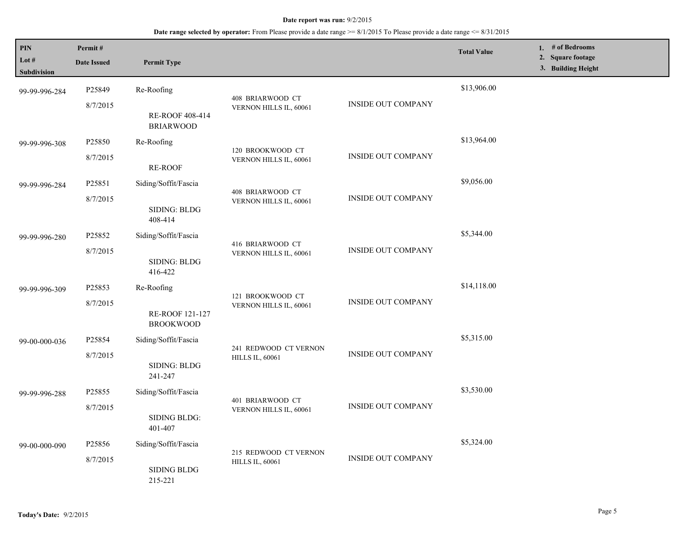| PIN                  | Permit#                                   |                                                                              |                                                 |                           | <b>Total Value</b> | 1. # of Bedrooms<br><b>Square footage</b><br>2. |
|----------------------|-------------------------------------------|------------------------------------------------------------------------------|-------------------------------------------------|---------------------------|--------------------|-------------------------------------------------|
| Lot #<br>Subdivision | <b>Date Issued</b>                        | <b>Permit Type</b>                                                           |                                                 |                           |                    | 3. Building Height                              |
| 99-99-996-284        | P25849                                    | Re-Roofing                                                                   | 408 BRIARWOOD CT                                |                           | \$13,906.00        |                                                 |
|                      | 8/7/2015                                  | RE-ROOF 408-414<br><b>BRIARWOOD</b>                                          | VERNON HILLS IL, 60061                          | <b>INSIDE OUT COMPANY</b> |                    |                                                 |
| 99-99-996-308        | P25850                                    | Re-Roofing                                                                   | 120 BROOKWOOD CT                                |                           | \$13,964.00        |                                                 |
|                      | 8/7/2015                                  | RE-ROOF                                                                      | VERNON HILLS IL, 60061                          | <b>INSIDE OUT COMPANY</b> |                    |                                                 |
| 99-99-996-284        | P25851                                    | Siding/Soffit/Fascia                                                         | 408 BRIARWOOD CT<br>VERNON HILLS IL, 60061      |                           | \$9,056.00         |                                                 |
|                      | 8/7/2015                                  | SIDING: BLDG<br>408-414                                                      |                                                 | <b>INSIDE OUT COMPANY</b> |                    |                                                 |
| 99-99-996-280        | P <sub>25852</sub>                        | Siding/Soffit/Fascia                                                         |                                                 |                           | \$5,344.00         |                                                 |
|                      | 8/7/2015                                  | SIDING: BLDG<br>416-422                                                      | 416 BRIARWOOD CT<br>VERNON HILLS IL, 60061      | <b>INSIDE OUT COMPANY</b> |                    |                                                 |
| 99-99-996-309        | P25853                                    | Re-Roofing                                                                   |                                                 |                           | \$14,118.00        |                                                 |
|                      | 8/7/2015                                  | RE-ROOF 121-127<br><b>BROOKWOOD</b>                                          | 121 BROOKWOOD CT<br>VERNON HILLS IL, 60061      | INSIDE OUT COMPANY        |                    |                                                 |
| 99-00-000-036        | P25854                                    | Siding/Soffit/Fascia                                                         |                                                 |                           | \$5,315.00         |                                                 |
|                      | 8/7/2015                                  | SIDING: BLDG<br>241-247                                                      | 241 REDWOOD CT VERNON<br><b>HILLS IL, 60061</b> | <b>INSIDE OUT COMPANY</b> |                    |                                                 |
| 99-99-996-288        | P25855                                    | Siding/Soffit/Fascia                                                         |                                                 |                           | \$3,530.00         |                                                 |
|                      | 8/7/2015                                  | SIDING BLDG:<br>401-407                                                      | 401 BRIARWOOD CT<br>VERNON HILLS IL, 60061      | <b>INSIDE OUT COMPANY</b> |                    |                                                 |
| 99-00-000-090        | P25856                                    | Siding/Soffit/Fascia                                                         |                                                 |                           | \$5,324.00         |                                                 |
|                      | 8/7/2015<br><b>SIDING BLDG</b><br>215-221 | 215 REDWOOD CT VERNON<br><b>INSIDE OUT COMPANY</b><br><b>HILLS IL, 60061</b> |                                                 |                           |                    |                                                 |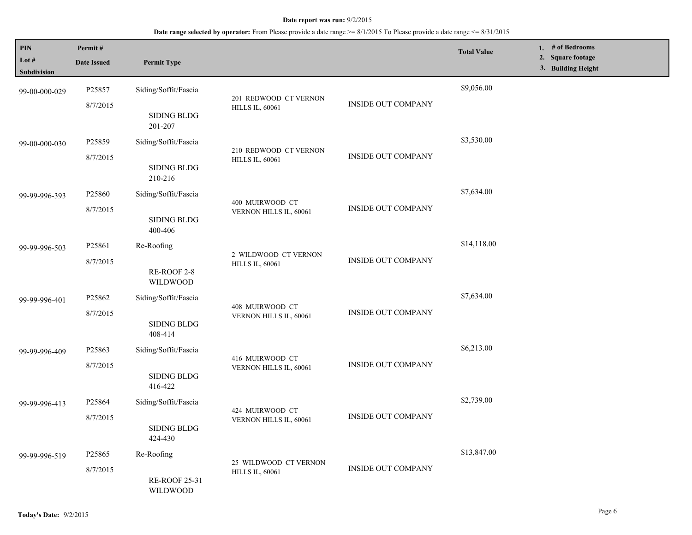| <b>PIN</b><br>Lot #<br><b>Subdivision</b> | Permit#<br><b>Date Issued</b> | <b>Permit Type</b>                                    |                                                 |                           | <b>Total Value</b> | 1. # of Bedrooms<br>2. Square footage<br>3. Building Height |
|-------------------------------------------|-------------------------------|-------------------------------------------------------|-------------------------------------------------|---------------------------|--------------------|-------------------------------------------------------------|
| 99-00-000-029                             | P25857<br>8/7/2015            | Siding/Soffit/Fascia<br>SIDING BLDG                   | 201 REDWOOD CT VERNON<br><b>HILLS IL, 60061</b> | <b>INSIDE OUT COMPANY</b> | \$9,056.00         |                                                             |
| 99-00-000-030                             | P25859<br>8/7/2015            | 201-207<br>Siding/Soffit/Fascia<br><b>SIDING BLDG</b> | 210 REDWOOD CT VERNON<br><b>HILLS IL, 60061</b> | <b>INSIDE OUT COMPANY</b> | \$3,530.00         |                                                             |
| 99-99-996-393                             | P25860<br>8/7/2015            | 210-216<br>Siding/Soffit/Fascia<br><b>SIDING BLDG</b> | 400 MUIRWOOD CT<br>VERNON HILLS IL, 60061       | <b>INSIDE OUT COMPANY</b> | \$7,634.00         |                                                             |
| 99-99-996-503                             | P25861<br>8/7/2015            | 400-406<br>Re-Roofing<br>RE-ROOF 2-8<br>WILDWOOD      | 2 WILDWOOD CT VERNON<br><b>HILLS IL, 60061</b>  | <b>INSIDE OUT COMPANY</b> | \$14,118.00        |                                                             |
| 99-99-996-401                             | P25862<br>8/7/2015            | Siding/Soffit/Fascia<br><b>SIDING BLDG</b><br>408-414 | 408 MUIRWOOD CT<br>VERNON HILLS IL, 60061       | <b>INSIDE OUT COMPANY</b> | \$7,634.00         |                                                             |
| 99-99-996-409                             | P25863<br>8/7/2015            | Siding/Soffit/Fascia<br><b>SIDING BLDG</b><br>416-422 | 416 MUIRWOOD CT<br>VERNON HILLS IL, 60061       | <b>INSIDE OUT COMPANY</b> | \$6,213.00         |                                                             |
| 99-99-996-413                             | P25864<br>8/7/2015            | Siding/Soffit/Fascia<br>SIDING BLDG<br>424-430        | 424 MUIRWOOD CT<br>VERNON HILLS IL, 60061       | <b>INSIDE OUT COMPANY</b> | \$2,739.00         |                                                             |
| 99-99-996-519                             | P25865<br>8/7/2015            | Re-Roofing<br><b>RE-ROOF 25-31</b><br>WILDWOOD        | 25 WILDWOOD CT VERNON<br><b>HILLS IL, 60061</b> | <b>INSIDE OUT COMPANY</b> | \$13,847.00        |                                                             |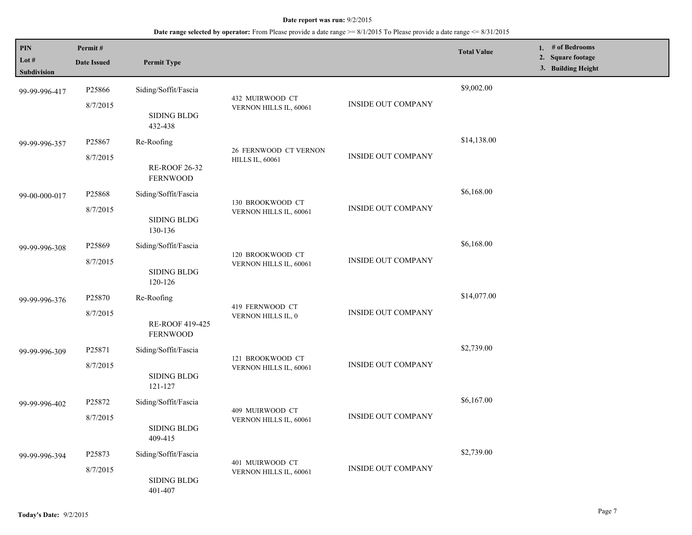| PIN<br>Lot #                 | Permit#<br><b>Date Issued</b>  | <b>Permit Type</b>                                    |                                                 |                           | <b>Total Value</b> | 1. # of Bedrooms<br>2. Square footage<br>3. Building Height |
|------------------------------|--------------------------------|-------------------------------------------------------|-------------------------------------------------|---------------------------|--------------------|-------------------------------------------------------------|
| Subdivision<br>99-99-996-417 | P25866<br>8/7/2015             | Siding/Soffit/Fascia                                  | 432 MUIRWOOD CT<br>VERNON HILLS IL, 60061       | <b>INSIDE OUT COMPANY</b> | \$9,002.00         |                                                             |
|                              |                                | <b>SIDING BLDG</b><br>432-438                         |                                                 |                           | \$14,138.00        |                                                             |
| 99-99-996-357                | P25867<br>8/7/2015             | Re-Roofing<br><b>RE-ROOF 26-32</b><br><b>FERNWOOD</b> | 26 FERNWOOD CT VERNON<br><b>HILLS IL, 60061</b> | <b>INSIDE OUT COMPANY</b> |                    |                                                             |
| 99-00-000-017                | P25868<br>8/7/2015             | Siding/Soffit/Fascia<br><b>SIDING BLDG</b><br>130-136 | 130 BROOKWOOD CT<br>VERNON HILLS IL, 60061      | <b>INSIDE OUT COMPANY</b> | \$6,168.00         |                                                             |
| 99-99-996-308                | P25869<br>8/7/2015             | Siding/Soffit/Fascia<br><b>SIDING BLDG</b><br>120-126 | 120 BROOKWOOD CT<br>VERNON HILLS IL, 60061      | <b>INSIDE OUT COMPANY</b> | \$6,168.00         |                                                             |
| 99-99-996-376                | P25870<br>8/7/2015             | Re-Roofing<br>RE-ROOF 419-425<br><b>FERNWOOD</b>      | 419 FERNWOOD CT<br>VERNON HILLS IL, 0           | <b>INSIDE OUT COMPANY</b> | \$14,077.00        |                                                             |
| 99-99-996-309                | P25871<br>8/7/2015             | Siding/Soffit/Fascia<br><b>SIDING BLDG</b><br>121-127 | 121 BROOKWOOD CT<br>VERNON HILLS IL, 60061      | <b>INSIDE OUT COMPANY</b> | \$2,739.00         |                                                             |
| 99-99-996-402                | P25872<br>8/7/2015             | Siding/Soffit/Fascia<br><b>SIDING BLDG</b><br>409-415 | 409 MUIRWOOD CT<br>VERNON HILLS IL, 60061       | <b>INSIDE OUT COMPANY</b> | \$6,167.00         |                                                             |
| 99-99-996-394                | P <sub>25873</sub><br>8/7/2015 | Siding/Soffit/Fascia<br><b>SIDING BLDG</b><br>401-407 | 401 MUIRWOOD CT<br>VERNON HILLS IL, 60061       | <b>INSIDE OUT COMPANY</b> | \$2,739.00         |                                                             |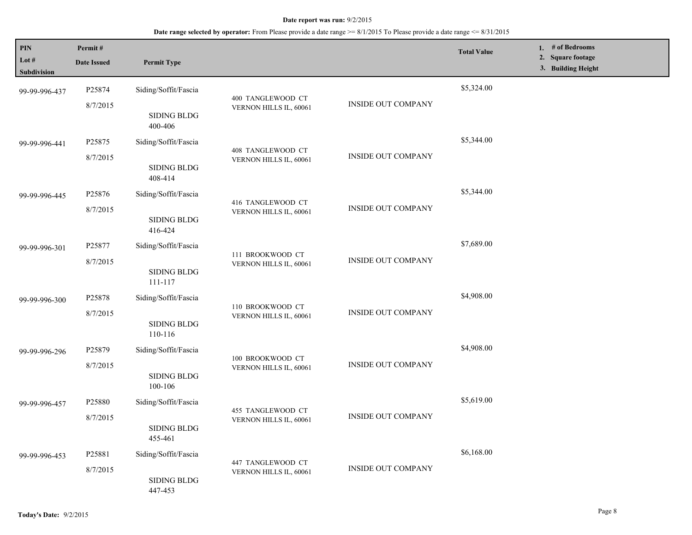| PIN<br>Lot $#$<br>Subdivision | Permit#<br><b>Date Issued</b>                                  | <b>Permit Type</b>            |                                             |                           | <b>Total Value</b> | 1. # of Bedrooms<br><b>Square footage</b><br>2.<br>3. Building Height |
|-------------------------------|----------------------------------------------------------------|-------------------------------|---------------------------------------------|---------------------------|--------------------|-----------------------------------------------------------------------|
| 99-99-996-437                 | P25874<br>8/7/2015                                             | Siding/Soffit/Fascia          | 400 TANGLEWOOD CT                           | <b>INSIDE OUT COMPANY</b> | \$5,324.00         |                                                                       |
|                               |                                                                | <b>SIDING BLDG</b><br>400-406 | VERNON HILLS IL, 60061                      |                           |                    |                                                                       |
| 99-99-996-441                 | P25875                                                         | Siding/Soffit/Fascia          | 408 TANGLEWOOD CT                           |                           | \$5,344.00         |                                                                       |
|                               | 8/7/2015                                                       | SIDING BLDG<br>408-414        | VERNON HILLS IL, 60061                      | <b>INSIDE OUT COMPANY</b> |                    |                                                                       |
| 99-99-996-445                 | P25876                                                         | Siding/Soffit/Fascia          | 416 TANGLEWOOD CT<br>VERNON HILLS IL, 60061 |                           | \$5,344.00         |                                                                       |
|                               | 8/7/2015                                                       | <b>SIDING BLDG</b><br>416-424 |                                             | <b>INSIDE OUT COMPANY</b> |                    |                                                                       |
| 99-99-996-301                 | P25877                                                         | Siding/Soffit/Fascia          |                                             |                           | \$7,689.00         |                                                                       |
|                               | 8/7/2015                                                       | <b>SIDING BLDG</b><br>111-117 | 111 BROOKWOOD CT<br>VERNON HILLS IL, 60061  | <b>INSIDE OUT COMPANY</b> |                    |                                                                       |
| 99-99-996-300                 | P25878                                                         | Siding/Soffit/Fascia          |                                             | <b>INSIDE OUT COMPANY</b> | \$4,908.00         |                                                                       |
|                               | 8/7/2015                                                       | <b>SIDING BLDG</b><br>110-116 | 110 BROOKWOOD CT<br>VERNON HILLS IL, 60061  |                           |                    |                                                                       |
| 99-99-996-296                 | P25879                                                         | Siding/Soffit/Fascia          |                                             |                           | \$4,908.00         |                                                                       |
|                               | 8/7/2015                                                       | <b>SIDING BLDG</b><br>100-106 | 100 BROOKWOOD CT<br>VERNON HILLS IL, 60061  | <b>INSIDE OUT COMPANY</b> |                    |                                                                       |
| 99-99-996-457                 | P25880                                                         | Siding/Soffit/Fascia          |                                             |                           | \$5,619.00         |                                                                       |
|                               | 8/7/2015                                                       | <b>SIDING BLDG</b><br>455-461 | 455 TANGLEWOOD CT<br>VERNON HILLS IL, 60061 | <b>INSIDE OUT COMPANY</b> |                    |                                                                       |
| 99-99-996-453                 | P <sub>25881</sub>                                             | Siding/Soffit/Fascia          |                                             |                           | \$6,168.00         |                                                                       |
|                               | 447 TANGLEWOOD CT<br>8/7/2015<br><b>SIDING BLDG</b><br>447-453 | VERNON HILLS IL, 60061        | <b>INSIDE OUT COMPANY</b>                   |                           |                    |                                                                       |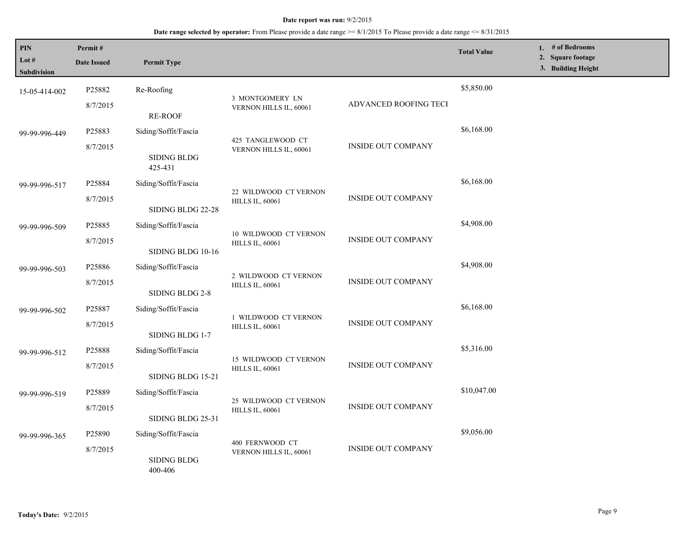| PIN<br>Lot $#$<br><b>Subdivision</b> | Permit#<br><b>Date Issued</b> | <b>Permit Type</b>                                             |                                                 |                           | <b>Total Value</b> | # of Bedrooms<br>1.<br>2. Square footage<br>3. Building Height |
|--------------------------------------|-------------------------------|----------------------------------------------------------------|-------------------------------------------------|---------------------------|--------------------|----------------------------------------------------------------|
| 15-05-414-002                        | P25882<br>8/7/2015            | Re-Roofing                                                     | 3 MONTGOMERY LN<br>VERNON HILLS IL, 60061       | ADVANCED ROOFING TECH     | \$5,850.00         |                                                                |
| 99-99-996-449                        | P25883<br>8/7/2015            | <b>RE-ROOF</b><br>Siding/Soffit/Fascia<br><b>SIDING BLDG</b>   | 425 TANGLEWOOD CT<br>VERNON HILLS IL, 60061     | <b>INSIDE OUT COMPANY</b> | \$6,168.00         |                                                                |
| 99-99-996-517                        | P25884<br>8/7/2015            | 425-431<br>Siding/Soffit/Fascia                                | 22 WILDWOOD CT VERNON<br><b>HILLS IL, 60061</b> | <b>INSIDE OUT COMPANY</b> | \$6,168.00         |                                                                |
| 99-99-996-509                        | P25885<br>8/7/2015            | SIDING BLDG 22-28<br>Siding/Soffit/Fascia<br>SIDING BLDG 10-16 | 10 WILDWOOD CT VERNON<br><b>HILLS IL, 60061</b> | <b>INSIDE OUT COMPANY</b> | \$4,908.00         |                                                                |
| 99-99-996-503                        | P25886<br>8/7/2015            | Siding/Soffit/Fascia<br>SIDING BLDG 2-8                        | 2 WILDWOOD CT VERNON<br><b>HILLS IL, 60061</b>  | <b>INSIDE OUT COMPANY</b> | \$4,908.00         |                                                                |
| 99-99-996-502                        | P25887<br>8/7/2015            | Siding/Soffit/Fascia<br>SIDING BLDG 1-7                        | 1 WILDWOOD CT VERNON<br><b>HILLS IL, 60061</b>  | <b>INSIDE OUT COMPANY</b> | \$6,168.00         |                                                                |
| 99-99-996-512                        | P25888<br>8/7/2015            | Siding/Soffit/Fascia<br>SIDING BLDG 15-21                      | 15 WILDWOOD CT VERNON<br><b>HILLS IL, 60061</b> | INSIDE OUT COMPANY        | \$5,316.00         |                                                                |
| 99-99-996-519                        | P25889<br>8/7/2015            | Siding/Soffit/Fascia<br>SIDING BLDG 25-31                      | 25 WILDWOOD CT VERNON<br><b>HILLS IL, 60061</b> | <b>INSIDE OUT COMPANY</b> | \$10,047.00        |                                                                |
| 99-99-996-365                        | P25890<br>8/7/2015            | Siding/Soffit/Fascia<br><b>SIDING BLDG</b><br>400-406          | 400 FERNWOOD CT<br>VERNON HILLS IL, 60061       | <b>INSIDE OUT COMPANY</b> | \$9,056.00         |                                                                |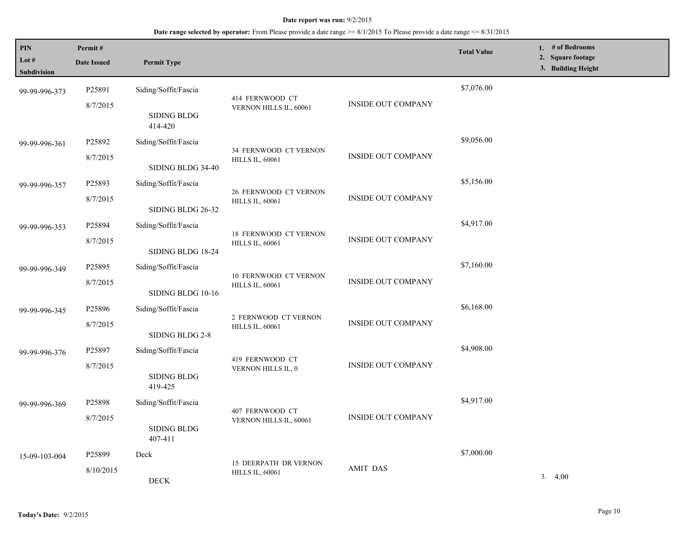| <b>PIN</b><br>Lot $#$ | Permit#<br><b>Date Issued</b> | <b>Permit Type</b>            |                                                        |                           | <b>Total Value</b> | 1. $#$ of Bedrooms<br>2. Square footage<br>3. Building Height |
|-----------------------|-------------------------------|-------------------------------|--------------------------------------------------------|---------------------------|--------------------|---------------------------------------------------------------|
| Subdivision           |                               |                               |                                                        |                           |                    |                                                               |
| 99-99-996-373         | P25891                        | Siding/Soffit/Fascia          | 414 FERNWOOD CT                                        |                           | \$7,076.00         |                                                               |
|                       | 8/7/2015                      | SIDING BLDG<br>414-420        | VERNON HILLS IL, 60061                                 | <b>INSIDE OUT COMPANY</b> |                    |                                                               |
| 99-99-996-361         | P25892                        | Siding/Soffit/Fascia          |                                                        |                           | \$9,056.00         |                                                               |
|                       | 8/7/2015                      | SIDING BLDG 34-40             | 34 FERNWOOD CT VERNON<br><b>HILLS IL, 60061</b>        | <b>INSIDE OUT COMPANY</b> |                    |                                                               |
| 99-99-996-357         | P25893                        | Siding/Soffit/Fascia          |                                                        |                           | \$5,156.00         |                                                               |
|                       | 8/7/2015                      | SIDING BLDG 26-32             | 26 FERNWOOD CT VERNON<br><b>HILLS IL, 60061</b>        | <b>INSIDE OUT COMPANY</b> |                    |                                                               |
| 99-99-996-353         | P25894                        | Siding/Soffit/Fascia          |                                                        |                           | \$4,917.00         |                                                               |
|                       | 8/7/2015                      | SIDING BLDG 18-24             | <b>18 FERNWOOD CT VERNON</b><br><b>HILLS IL, 60061</b> | <b>INSIDE OUT COMPANY</b> |                    |                                                               |
| 99-99-996-349         | P25895                        | Siding/Soffit/Fascia          |                                                        |                           | \$7,160.00         |                                                               |
|                       | 8/7/2015                      | SIDING BLDG 10-16             | 10 FERNWOOD CT VERNON<br><b>HILLS IL, 60061</b>        | <b>INSIDE OUT COMPANY</b> |                    |                                                               |
| 99-99-996-345         | P25896                        | Siding/Soffit/Fascia          |                                                        |                           | \$6,168.00         |                                                               |
|                       | 8/7/2015                      | SIDING BLDG 2-8               | 2 FERNWOOD CT VERNON<br><b>HILLS IL, 60061</b>         | <b>INSIDE OUT COMPANY</b> |                    |                                                               |
| 99-99-996-376         | P25897                        | Siding/Soffit/Fascia          | 419 FERNWOOD CT                                        |                           | \$4,908.00         |                                                               |
|                       | 8/7/2015                      | <b>SIDING BLDG</b><br>419-425 | VERNON HILLS IL, 0                                     | <b>INSIDE OUT COMPANY</b> |                    |                                                               |
| 99-99-996-369         | P25898                        | Siding/Soffit/Fascia          |                                                        |                           | \$4,917.00         |                                                               |
|                       | 8/7/2015                      | <b>SIDING BLDG</b><br>407-411 | 407 FERNWOOD CT<br>VERNON HILLS IL, 60061              | <b>INSIDE OUT COMPANY</b> |                    |                                                               |
| 15-09-103-004         | P25899                        | Deck                          |                                                        |                           | \$7,000.00         |                                                               |
|                       | 8/10/2015                     | <b>DECK</b>                   | 15 DEERPATH DR VERNON<br><b>HILLS IL, 60061</b>        | <b>AMIT DAS</b>           |                    | 3.4.00                                                        |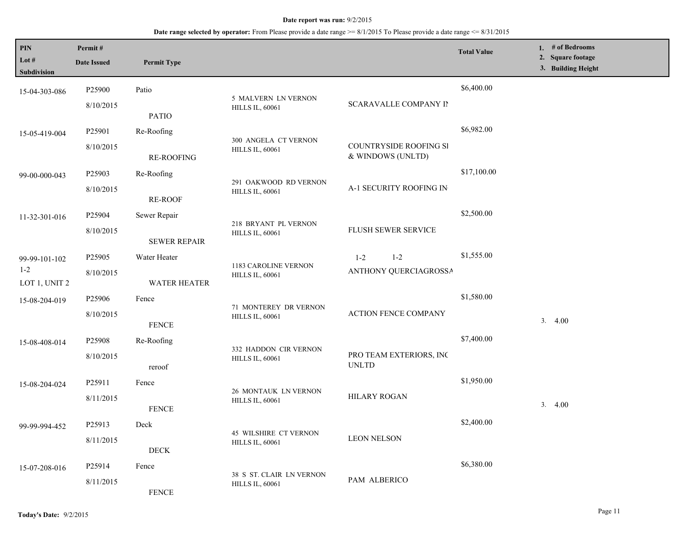| PIN<br>Lot #<br>Subdivision | Permit#<br><b>Date Issued</b> | <b>Permit Type</b>  |                                                        |                                             | <b>Total Value</b> |        | 1. # of Bedrooms<br>2. Square footage<br>3. Building Height |
|-----------------------------|-------------------------------|---------------------|--------------------------------------------------------|---------------------------------------------|--------------------|--------|-------------------------------------------------------------|
| 15-04-303-086               | P25900                        | Patio               |                                                        |                                             | \$6,400.00         |        |                                                             |
|                             | 8/10/2015                     | <b>PATIO</b>        | 5 MALVERN LN VERNON<br><b>HILLS IL, 60061</b>          | <b>SCARAVALLE COMPANY II</b>                |                    |        |                                                             |
| 15-05-419-004               | P25901                        | Re-Roofing          | 300 ANGELA CT VERNON                                   |                                             | \$6,982.00         |        |                                                             |
|                             | 8/10/2015                     | <b>RE-ROOFING</b>   | <b>HILLS IL, 60061</b>                                 | COUNTRYSIDE ROOFING SI<br>& WINDOWS (UNLTD) |                    |        |                                                             |
| 99-00-000-043               | P25903                        | Re-Roofing          | 291 OAKWOOD RD VERNON                                  |                                             | \$17,100.00        |        |                                                             |
|                             | 8/10/2015                     | <b>RE-ROOF</b>      | <b>HILLS IL, 60061</b>                                 | A-1 SECURITY ROOFING IN                     |                    |        |                                                             |
| 11-32-301-016               | P25904                        | Sewer Repair        | 218 BRYANT PL VERNON                                   |                                             | \$2,500.00         |        |                                                             |
|                             | 8/10/2015                     | <b>SEWER REPAIR</b> | <b>HILLS IL, 60061</b>                                 | FLUSH SEWER SERVICE                         |                    |        |                                                             |
| 99-99-101-102               | P <sub>25905</sub>            | Water Heater        |                                                        | $1 - 2$<br>$1 - 2$                          | \$1,555.00         |        |                                                             |
| $1 - 2$<br>LOT 1, UNIT 2    | 8/10/2015                     | <b>WATER HEATER</b> | 1183 CAROLINE VERNON<br><b>HILLS IL, 60061</b>         | ANTHONY QUERCIAGROSSA                       |                    |        |                                                             |
| 15-08-204-019               | P25906                        | Fence               | 71 MONTEREY DR VERNON                                  |                                             | \$1,580.00         |        |                                                             |
|                             | 8/10/2015                     | <b>FENCE</b>        | <b>HILLS IL, 60061</b>                                 | <b>ACTION FENCE COMPANY</b>                 |                    | 3.4.00 |                                                             |
| 15-08-408-014               | P25908                        | Re-Roofing          | 332 HADDON CIR VERNON                                  |                                             | \$7,400.00         |        |                                                             |
|                             | 8/10/2015                     | reroof              | <b>HILLS IL, 60061</b>                                 | PRO TEAM EXTERIORS, INC<br><b>UNLTD</b>     |                    |        |                                                             |
| 15-08-204-024               | P <sub>25911</sub>            | Fence               | 26 MONTAUK LN VERNON                                   |                                             | \$1,950.00         |        |                                                             |
|                             | 8/11/2015                     | <b>FENCE</b>        | <b>HILLS IL, 60061</b>                                 | <b>HILARY ROGAN</b>                         |                    | 3.4.00 |                                                             |
| 99-99-994-452               | P25913                        | Deck                |                                                        |                                             | \$2,400.00         |        |                                                             |
|                             | 8/11/2015                     | $\rm{DECK}$         | <b>45 WILSHIRE CT VERNON</b><br><b>HILLS IL, 60061</b> | <b>LEON NELSON</b>                          |                    |        |                                                             |
|                             | P25914                        | Fence               |                                                        |                                             | \$6,380.00         |        |                                                             |
| 15-07-208-016               | 8/11/2015                     | <b>FENCE</b>        | 38 S ST. CLAIR LN VERNON<br><b>HILLS IL, 60061</b>     | PAM ALBERICO                                |                    |        |                                                             |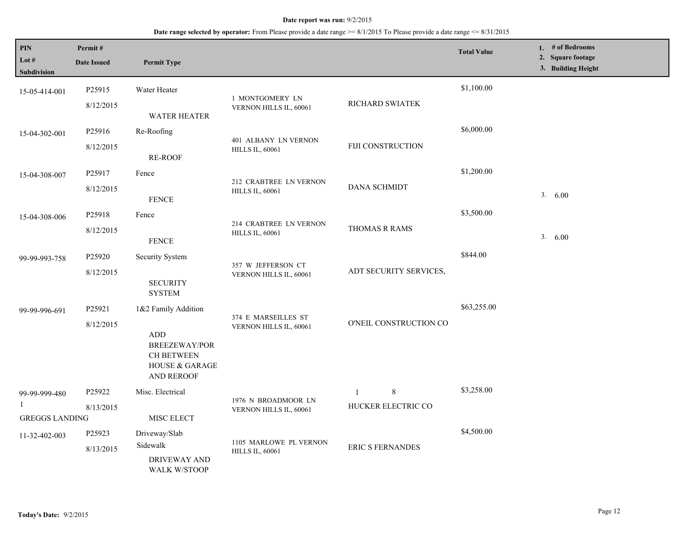| <b>PIN</b><br>Lot $#$<br>Subdivision   | Permit#<br><b>Date Issued</b> | <b>Permit Type</b>                                                                                                                     |                                                  |                                           | <b>Total Value</b> | 1. # of Bedrooms<br>2. Square footage<br>3. Building Height |
|----------------------------------------|-------------------------------|----------------------------------------------------------------------------------------------------------------------------------------|--------------------------------------------------|-------------------------------------------|--------------------|-------------------------------------------------------------|
| 15-05-414-001                          | P25915<br>8/12/2015           | Water Heater<br><b>WATER HEATER</b>                                                                                                    | 1 MONTGOMERY LN<br>VERNON HILLS IL, 60061        | RICHARD SWIATEK                           | \$1,100.00         |                                                             |
| 15-04-302-001                          | P25916<br>8/12/2015           | Re-Roofing<br><b>RE-ROOF</b>                                                                                                           | 401 ALBANY LN VERNON<br><b>HILLS IL, 60061</b>   | FIJI CONSTRUCTION                         | \$6,000.00         |                                                             |
| 15-04-308-007                          | P25917<br>8/12/2015           | Fence<br><b>FENCE</b>                                                                                                                  | 212 CRABTREE LN VERNON<br><b>HILLS IL, 60061</b> | <b>DANA SCHMIDT</b>                       | \$1,200.00         | 3. 6.00                                                     |
| 15-04-308-006                          | P25918<br>8/12/2015           | Fence<br><b>FENCE</b>                                                                                                                  | 214 CRABTREE LN VERNON<br><b>HILLS IL, 60061</b> | THOMAS R RAMS                             | \$3,500.00         | 3.<br>6.00                                                  |
| 99-99-993-758                          | P25920<br>8/12/2015           | Security System<br><b>SECURITY</b><br><b>SYSTEM</b>                                                                                    | 357 W JEFFERSON CT<br>VERNON HILLS IL, 60061     | ADT SECURITY SERVICES,                    | \$844.00           |                                                             |
| 99-99-996-691                          | P25921<br>8/12/2015           | 1&2 Family Addition<br>$\mbox{\rm ADD}$<br><b>BREEZEWAY/POR</b><br><b>CH BETWEEN</b><br><b>HOUSE &amp; GARAGE</b><br><b>AND REROOF</b> | 374 E MARSEILLES ST<br>VERNON HILLS IL, 60061    | O'NEIL CONSTRUCTION CO                    | \$63,255.00        |                                                             |
| 99-99-999-480<br><b>GREGGS LANDING</b> | P25922<br>8/13/2015           | Misc. Electrical<br>MISC ELECT                                                                                                         | 1976 N BROADMOOR LN<br>VERNON HILLS IL, 60061    | 8<br>$\overline{1}$<br>HUCKER ELECTRIC CO | \$3,258.00         |                                                             |
| 11-32-402-003                          | P25923<br>8/13/2015           | Driveway/Slab<br>Sidewalk<br><b>DRIVEWAY AND</b><br><b>WALK W/STOOP</b>                                                                | 1105 MARLOWE PL VERNON<br><b>HILLS IL, 60061</b> | <b>ERIC S FERNANDES</b>                   | \$4,500.00         |                                                             |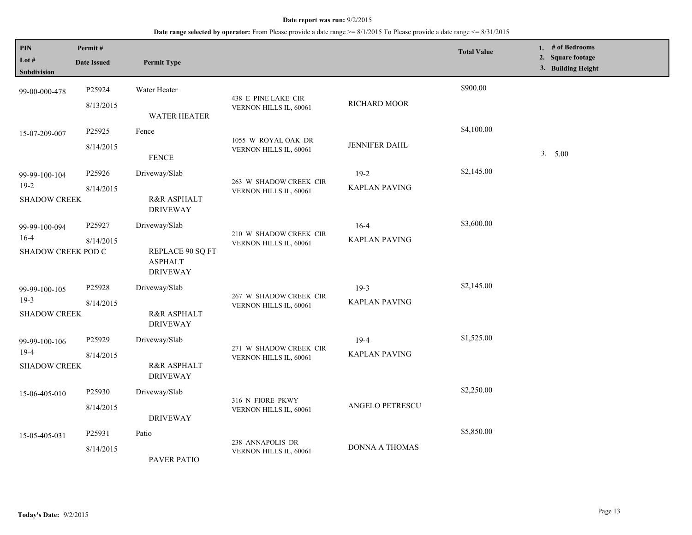| <b>PIN</b><br>Lot $#$<br><b>Subdivision</b>    | Permit#<br><b>Date Issued</b>   | <b>Permit Type</b>                                                     |                                                  |                                  | <b>Total Value</b> | 1. $#$ of Bedrooms<br>2. Square footage<br>3. Building Height |
|------------------------------------------------|---------------------------------|------------------------------------------------------------------------|--------------------------------------------------|----------------------------------|--------------------|---------------------------------------------------------------|
| 99-00-000-478                                  | P25924<br>8/13/2015             | Water Heater<br><b>WATER HEATER</b>                                    | 438 E PINE LAKE CIR<br>VERNON HILLS IL, 60061    | RICHARD MOOR                     | \$900.00           |                                                               |
| 15-07-209-007                                  | P25925<br>8/14/2015             | Fence<br><b>FENCE</b>                                                  | 1055 W ROYAL OAK DR<br>VERNON HILLS IL, 60061    | JENNIFER DAHL                    | \$4,100.00         | 3. 5.00                                                       |
| 99-99-100-104<br>$19-2$<br><b>SHADOW CREEK</b> | P25926<br>8/14/2015             | Driveway/Slab<br>R&R ASPHALT<br><b>DRIVEWAY</b>                        | 263 W SHADOW CREEK CIR<br>VERNON HILLS IL, 60061 | $19-2$<br><b>KAPLAN PAVING</b>   | \$2,145.00         |                                                               |
| 99-99-100-094<br>$16-4$<br>SHADOW CREEK POD C  | P25927<br>8/14/2015             | Driveway/Slab<br>REPLACE 90 SQ FT<br><b>ASPHALT</b><br><b>DRIVEWAY</b> | 210 W SHADOW CREEK CIR<br>VERNON HILLS IL, 60061 | $16 - 4$<br><b>KAPLAN PAVING</b> | \$3,600.00         |                                                               |
| 99-99-100-105<br>$19-3$<br><b>SHADOW CREEK</b> | P25928<br>8/14/2015             | Driveway/Slab<br>R&R ASPHALT<br><b>DRIVEWAY</b>                        | 267 W SHADOW CREEK CIR<br>VERNON HILLS IL, 60061 | $19-3$<br><b>KAPLAN PAVING</b>   | \$2,145.00         |                                                               |
| 99-99-100-106<br>$19-4$<br><b>SHADOW CREEK</b> | P25929<br>8/14/2015             | Driveway/Slab<br>R&R ASPHALT<br><b>DRIVEWAY</b>                        | 271 W SHADOW CREEK CIR<br>VERNON HILLS IL, 60061 | $19-4$<br><b>KAPLAN PAVING</b>   | \$1,525.00         |                                                               |
| 15-06-405-010                                  | P <sub>25930</sub><br>8/14/2015 | Driveway/Slab<br><b>DRIVEWAY</b>                                       | 316 N FIORE PKWY<br>VERNON HILLS IL, 60061       | ANGELO PETRESCU                  | \$2,250.00         |                                                               |
| 15-05-405-031                                  | P25931<br>8/14/2015             | Patio<br><b>PAVER PATIO</b>                                            | 238 ANNAPOLIS DR<br>VERNON HILLS IL, 60061       | <b>DONNA A THOMAS</b>            | \$5,850.00         |                                                               |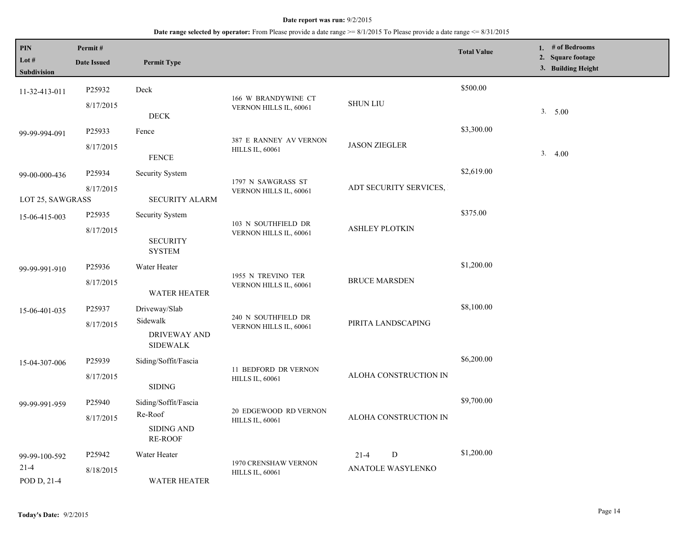| PIN<br>Lot $#$<br>Subdivision            | Permit#<br><b>Date Issued</b>   | <b>Permit Type</b>                                                     |                                                  |                                            | <b>Total Value</b> | 1. $#$ of Bedrooms<br>2. Square footage<br>3. Building Height |
|------------------------------------------|---------------------------------|------------------------------------------------------------------------|--------------------------------------------------|--------------------------------------------|--------------------|---------------------------------------------------------------|
| 11-32-413-011                            | P25932<br>8/17/2015             | Deck<br>$\rm{DECK}$                                                    | 166 W BRANDYWINE CT<br>VERNON HILLS IL, 60061    | <b>SHUN LIU</b>                            | \$500.00           | 3. 5.00                                                       |
| 99-99-994-091                            | P25933<br>8/17/2015             | Fence<br><b>FENCE</b>                                                  | 387 E RANNEY AV VERNON<br><b>HILLS IL, 60061</b> | <b>JASON ZIEGLER</b>                       | \$3,300.00         | 3.4.00                                                        |
| 99-00-000-436<br>LOT 25, SAWGRASS        | P25934<br>8/17/2015             | Security System<br><b>SECURITY ALARM</b>                               | 1797 N SAWGRASS ST<br>VERNON HILLS IL, 60061     | ADT SECURITY SERVICES,                     | \$2,619.00         |                                                               |
| 15-06-415-003                            | P25935<br>8/17/2015             | Security System<br><b>SECURITY</b><br><b>SYSTEM</b>                    | 103 N SOUTHFIELD DR<br>VERNON HILLS IL, 60061    | <b>ASHLEY PLOTKIN</b>                      | \$375.00           |                                                               |
| 99-99-991-910                            | P25936<br>8/17/2015             | Water Heater<br><b>WATER HEATER</b>                                    | 1955 N TREVINO TER<br>VERNON HILLS IL, 60061     | <b>BRUCE MARSDEN</b>                       | \$1,200.00         |                                                               |
| 15-06-401-035                            | P25937<br>8/17/2015             | Driveway/Slab<br>Sidewalk<br><b>DRIVEWAY AND</b><br><b>SIDEWALK</b>    | 240 N SOUTHFIELD DR<br>VERNON HILLS IL, 60061    | PIRITA LANDSCAPING                         | \$8,100.00         |                                                               |
| 15-04-307-006                            | P <sub>25939</sub><br>8/17/2015 | Siding/Soffit/Fascia<br><b>SIDING</b>                                  | 11 BEDFORD DR VERNON<br><b>HILLS IL, 60061</b>   | ALOHA CONSTRUCTION IN                      | \$6,200.00         |                                                               |
| 99-99-991-959                            | P25940<br>8/17/2015             | Siding/Soffit/Fascia<br>Re-Roof<br><b>SIDING AND</b><br><b>RE-ROOF</b> | 20 EDGEWOOD RD VERNON<br><b>HILLS IL, 60061</b>  | ALOHA CONSTRUCTION IN                      | \$9,700.00         |                                                               |
| 99-99-100-592<br>$21 - 4$<br>POD D, 21-4 | P25942<br>8/18/2015             | Water Heater<br><b>WATER HEATER</b>                                    | 1970 CRENSHAW VERNON<br><b>HILLS IL, 60061</b>   | ${\bf D}$<br>$21 - 4$<br>ANATOLE WASYLENKO | \$1,200.00         |                                                               |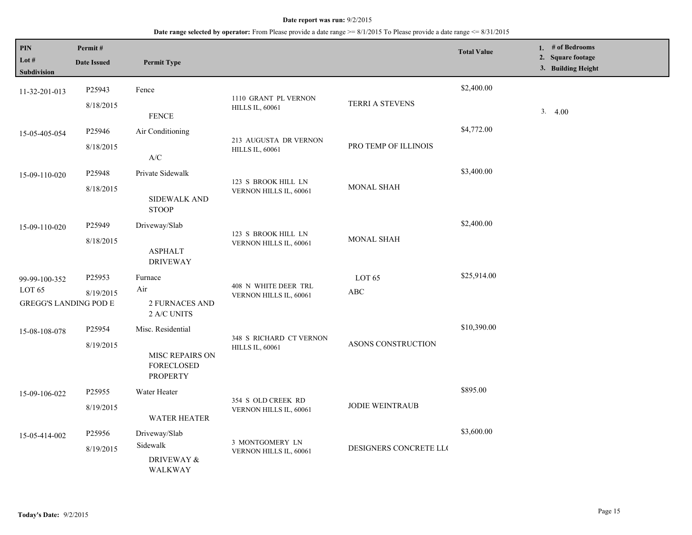| PIN<br>Lot $#$<br>Subdivision                                      | Permit#<br><b>Date Issued</b> | <b>Permit Type</b>                                                                  |                                                   |                                 | <b>Total Value</b> | 1. $#$ of Bedrooms<br>2. Square footage<br>3. Building Height |
|--------------------------------------------------------------------|-------------------------------|-------------------------------------------------------------------------------------|---------------------------------------------------|---------------------------------|--------------------|---------------------------------------------------------------|
| 11-32-201-013                                                      | P25943<br>8/18/2015           | Fence<br><b>FENCE</b>                                                               | 1110 GRANT PL VERNON<br><b>HILLS IL, 60061</b>    | TERRI A STEVENS                 | \$2,400.00         | 3.4.00                                                        |
| 15-05-405-054                                                      | P25946<br>8/18/2015           | Air Conditioning<br>A/C                                                             | 213 AUGUSTA DR VERNON<br><b>HILLS IL, 60061</b>   | PRO TEMP OF ILLINOIS            | \$4,772.00         |                                                               |
| 15-09-110-020                                                      | P25948<br>8/18/2015           | Private Sidewalk<br>SIDEWALK AND<br><b>STOOP</b>                                    | 123 S BROOK HILL LN<br>VERNON HILLS IL, 60061     | <b>MONAL SHAH</b>               | \$3,400.00         |                                                               |
| 15-09-110-020                                                      | P25949<br>8/18/2015           | Driveway/Slab<br><b>ASPHALT</b><br><b>DRIVEWAY</b>                                  | 123 S BROOK HILL LN<br>VERNON HILLS IL, 60061     | <b>MONAL SHAH</b>               | \$2,400.00         |                                                               |
| 99-99-100-352<br>LOT <sub>65</sub><br><b>GREGG'S LANDING POD E</b> | P25953<br>8/19/2015           | Furnace<br>Air<br>2 FURNACES AND<br>2 A/C UNITS                                     | 408 N WHITE DEER TRL<br>VERNON HILLS IL, 60061    | LOT <sub>65</sub><br>$\rm{ABC}$ | \$25,914.00        |                                                               |
| 15-08-108-078                                                      | P25954<br>8/19/2015           | Misc. Residential<br><b>MISC REPAIRS ON</b><br><b>FORECLOSED</b><br><b>PROPERTY</b> | 348 S RICHARD CT VERNON<br><b>HILLS IL, 60061</b> | ASONS CONSTRUCTION              | \$10,390.00        |                                                               |
| 15-09-106-022                                                      | P25955<br>8/19/2015           | Water Heater<br><b>WATER HEATER</b>                                                 | 354 S OLD CREEK RD<br>VERNON HILLS IL, 60061      | <b>JODIE WEINTRAUB</b>          | \$895.00           |                                                               |
| 15-05-414-002                                                      | P25956<br>8/19/2015           | Driveway/Slab<br>Sidewalk<br>DRIVEWAY &<br>WALKWAY                                  | 3 MONTGOMERY LN<br>VERNON HILLS IL, 60061         | DESIGNERS CONCRETE LLC          | \$3,600.00         |                                                               |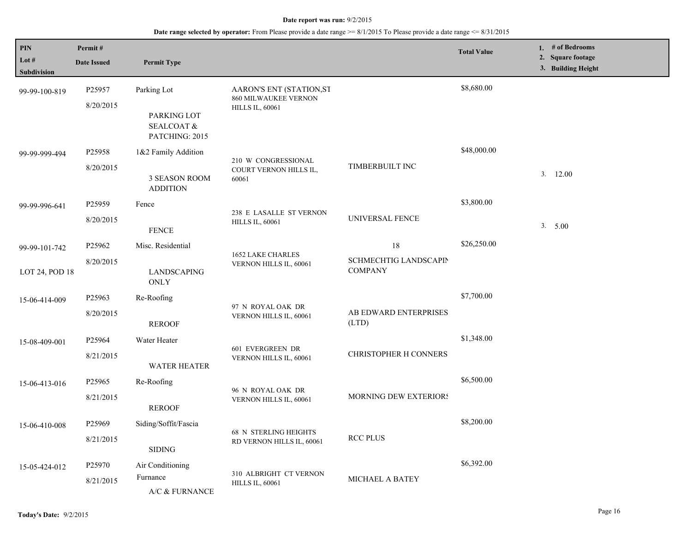| PIN                           | Permit#                                                  |                                     |                                                        |                                         | <b>Total Value</b> | 1. # of Bedrooms<br>2. Square footage |
|-------------------------------|----------------------------------------------------------|-------------------------------------|--------------------------------------------------------|-----------------------------------------|--------------------|---------------------------------------|
| Lot $#$<br><b>Subdivision</b> | <b>Date Issued</b>                                       | <b>Permit Type</b>                  |                                                        |                                         |                    | 3. Building Height                    |
| 99-99-100-819                 | P25957                                                   | Parking Lot                         | AARON'S ENT (STATION,ST<br><b>860 MILWAUKEE VERNON</b> |                                         | \$8,680.00         |                                       |
|                               | 8/20/2015<br>PARKING LOT<br>SEALCOAT &<br>PATCHING: 2015 | <b>HILLS IL, 60061</b>              |                                                        |                                         |                    |                                       |
| 99-99-999-494                 | P25958                                                   | 1&2 Family Addition                 |                                                        |                                         | \$48,000.00        |                                       |
|                               | 8/20/2015                                                | 3 SEASON ROOM<br><b>ADDITION</b>    | 210 W CONGRESSIONAL<br>COURT VERNON HILLS IL,<br>60061 | TIMBERBUILT INC                         |                    | 3.12.00                               |
| 99-99-996-641                 | P <sub>25959</sub>                                       | Fence                               |                                                        |                                         | \$3,800.00         |                                       |
|                               | 8/20/2015                                                | <b>FENCE</b>                        | 238 E LASALLE ST VERNON<br><b>HILLS IL, 60061</b>      | UNIVERSAL FENCE                         |                    | 3. 5.00                               |
| 99-99-101-742                 | P25962                                                   | Misc. Residential                   |                                                        | 18                                      | \$26,250.00        |                                       |
| LOT 24, POD 18                | 8/20/2015                                                | LANDSCAPING<br>ONLY                 | <b>1652 LAKE CHARLES</b><br>VERNON HILLS IL, 60061     | SCHMECHTIG LANDSCAPIN<br><b>COMPANY</b> |                    |                                       |
| 15-06-414-009                 | P25963                                                   | Re-Roofing                          |                                                        |                                         | \$7,700.00         |                                       |
|                               | 8/20/2015                                                | <b>REROOF</b>                       | 97 N ROYAL OAK DR<br>VERNON HILLS IL, 60061            | AB EDWARD ENTERPRISES<br>(LTD)          |                    |                                       |
| 15-08-409-001                 | P25964                                                   | Water Heater                        |                                                        |                                         | \$1,348.00         |                                       |
|                               | 8/21/2015                                                | WATER HEATER                        | 601 EVERGREEN DR<br>VERNON HILLS IL, 60061             | CHRISTOPHER H CONNERS                   |                    |                                       |
| 15-06-413-016                 | P25965                                                   | Re-Roofing                          | 96 N ROYAL OAK DR                                      |                                         | \$6,500.00         |                                       |
|                               | 8/21/2015                                                | <b>REROOF</b>                       | VERNON HILLS IL, 60061                                 | MORNING DEW EXTERIORS                   |                    |                                       |
| 15-06-410-008                 | P25969                                                   | Siding/Soffit/Fascia                | <b>68 N STERLING HEIGHTS</b>                           |                                         | \$8,200.00         |                                       |
|                               | 8/21/2015                                                | <b>SIDING</b>                       | RD VERNON HILLS IL, 60061                              | <b>RCC PLUS</b>                         |                    |                                       |
| 15-05-424-012                 | P25970                                                   | Air Conditioning                    |                                                        |                                         | \$6,392.00         |                                       |
|                               | 8/21/2015                                                | Furnance<br>$A/C\ \&\ \rm FURNANCE$ | 310 ALBRIGHT CT VERNON<br><b>HILLS IL, 60061</b>       | MICHAEL A BATEY                         |                    |                                       |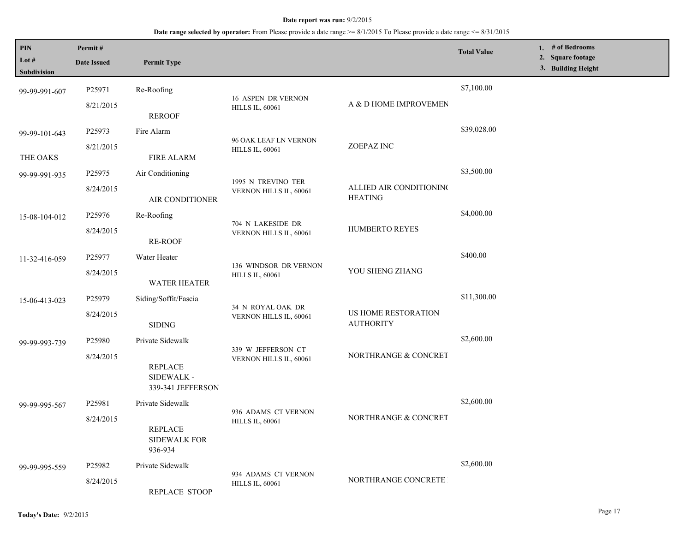| <b>PIN</b><br>Lot $#$ | Permit#<br><b>Date Issued</b> | <b>Permit Type</b>                                |                                                 |                                           | <b>Total Value</b> | 1. # of Bedrooms<br>2. Square footage |
|-----------------------|-------------------------------|---------------------------------------------------|-------------------------------------------------|-------------------------------------------|--------------------|---------------------------------------|
| Subdivision           |                               |                                                   |                                                 |                                           |                    | 3. Building Height                    |
| 99-99-991-607         | P25971                        | Re-Roofing                                        | <b>16 ASPEN DR VERNON</b>                       |                                           | \$7,100.00         |                                       |
|                       | 8/21/2015<br><b>REROOF</b>    | <b>HILLS IL, 60061</b>                            | A & D HOME IMPROVEMEN                           |                                           |                    |                                       |
| 99-99-101-643         | P25973                        | Fire Alarm                                        |                                                 |                                           | \$39,028.00        |                                       |
| THE OAKS              | 8/21/2015                     | <b>FIRE ALARM</b>                                 | 96 OAK LEAF LN VERNON<br><b>HILLS IL, 60061</b> | ZOEPAZ INC                                |                    |                                       |
| 99-99-991-935         | P25975                        | Air Conditioning                                  |                                                 |                                           | \$3,500.00         |                                       |
|                       | 8/24/2015                     | AIR CONDITIONER                                   | 1995 N TREVINO TER<br>VERNON HILLS IL, 60061    | ALLIED AIR CONDITIONING<br><b>HEATING</b> |                    |                                       |
| 15-08-104-012         | P25976                        | Re-Roofing                                        |                                                 |                                           | \$4,000.00         |                                       |
|                       | 8/24/2015                     | <b>RE-ROOF</b>                                    | 704 N LAKESIDE DR<br>VERNON HILLS IL, 60061     | HUMBERTO REYES                            |                    |                                       |
| 11-32-416-059         | P25977                        | Water Heater                                      |                                                 |                                           | \$400.00           |                                       |
|                       | 8/24/2015                     | <b>WATER HEATER</b>                               | 136 WINDSOR DR VERNON<br><b>HILLS IL, 60061</b> | YOU SHENG ZHANG                           |                    |                                       |
| 15-06-413-023         | P25979                        | Siding/Soffit/Fascia                              |                                                 |                                           | \$11,300.00        |                                       |
|                       | 8/24/2015                     | <b>SIDING</b>                                     | 34 N ROYAL OAK DR<br>VERNON HILLS IL, 60061     | US HOME RESTORATION<br><b>AUTHORITY</b>   |                    |                                       |
| 99-99-993-739         | P <sub>25980</sub>            | Private Sidewalk                                  |                                                 |                                           | \$2,600.00         |                                       |
|                       | 8/24/2015                     | <b>REPLACE</b><br>SIDEWALK -<br>339-341 JEFFERSON | 339 W JEFFERSON CT<br>VERNON HILLS IL, 60061    | NORTHRANGE & CONCRET                      |                    |                                       |
| 99-99-995-567         | P25981                        | Private Sidewalk                                  |                                                 |                                           | \$2,600.00         |                                       |
|                       | 8/24/2015                     | <b>REPLACE</b><br><b>SIDEWALK FOR</b><br>936-934  | 936 ADAMS CT VERNON<br><b>HILLS IL, 60061</b>   | NORTHRANGE & CONCRET                      |                    |                                       |
| 99-99-995-559         | P <sub>25982</sub>            | Private Sidewalk                                  |                                                 |                                           | \$2,600.00         |                                       |
|                       | 8/24/2015                     | REPLACE STOOP                                     | 934 ADAMS CT VERNON<br><b>HILLS IL, 60061</b>   | NORTHRANGE CONCRETE                       |                    |                                       |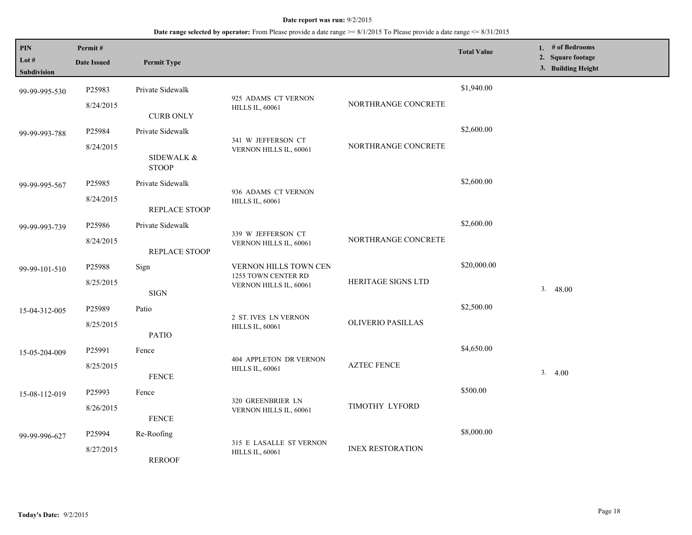| $\mathbf{PIN}$<br>Lot #<br>Subdivision | Permit#<br><b>Date Issued</b>   | <b>Permit Type</b>                       |                                                                        |                           | <b>Total Value</b> | 1. # of Bedrooms<br>2. Square footage<br>3. Building Height |
|----------------------------------------|---------------------------------|------------------------------------------|------------------------------------------------------------------------|---------------------------|--------------------|-------------------------------------------------------------|
| 99-99-995-530                          | P25983<br>8/24/2015             | Private Sidewalk                         | 925 ADAMS CT VERNON<br><b>HILLS IL, 60061</b>                          | NORTHRANGE CONCRETE       | \$1,940.00         |                                                             |
| 99-99-993-788                          | P25984                          | <b>CURB ONLY</b><br>Private Sidewalk     |                                                                        |                           | \$2,600.00         |                                                             |
|                                        | 8/24/2015                       | SIDEWALK &                               | 341 W JEFFERSON CT<br>VERNON HILLS IL, 60061                           | NORTHRANGE CONCRETE       |                    |                                                             |
|                                        |                                 | <b>STOOP</b>                             |                                                                        |                           | \$2,600.00         |                                                             |
| 99-99-995-567                          | P <sub>25985</sub><br>8/24/2015 | Private Sidewalk                         | 936 ADAMS CT VERNON<br><b>HILLS IL, 60061</b>                          |                           |                    |                                                             |
| 99-99-993-739                          | P25986                          | <b>REPLACE STOOP</b><br>Private Sidewalk | 339 W JEFFERSON CT                                                     |                           | \$2,600.00         |                                                             |
|                                        | 8/24/2015                       | <b>REPLACE STOOP</b>                     | VERNON HILLS IL, 60061                                                 | NORTHRANGE CONCRETE       |                    |                                                             |
| 99-99-101-510                          | P25988<br>8/25/2015             | Sign                                     | VERNON HILLS TOWN CEN<br>1255 TOWN CENTER RD<br>VERNON HILLS IL, 60061 | <b>HERITAGE SIGNS LTD</b> | \$20,000.00        |                                                             |
|                                        | P25989                          | <b>SIGN</b><br>Patio                     |                                                                        |                           | \$2,500.00         | 3.48.00                                                     |
| 15-04-312-005                          | 8/25/2015                       | <b>PATIO</b>                             | 2 ST. IVES LN VERNON<br><b>HILLS IL, 60061</b>                         | <b>OLIVERIO PASILLAS</b>  |                    |                                                             |
| 15-05-204-009                          | P25991                          | Fence                                    | 404 APPLETON DR VERNON                                                 |                           | \$4,650.00         |                                                             |
|                                        | 8/25/2015                       | <b>FENCE</b>                             | <b>HILLS IL, 60061</b>                                                 | <b>AZTEC FENCE</b>        |                    | 3.4.00                                                      |
| 15-08-112-019                          | P25993<br>8/26/2015             | Fence                                    | 320 GREENBRIER LN<br>VERNON HILLS IL, 60061                            | TIMOTHY LYFORD            | \$500.00           |                                                             |
| 99-99-996-627                          | P25994                          | <b>FENCE</b><br>Re-Roofing               |                                                                        |                           | \$8,000.00         |                                                             |
|                                        | 8/27/2015                       | <b>REROOF</b>                            | 315 E LASALLE ST VERNON<br><b>HILLS IL, 60061</b>                      | <b>INEX RESTORATION</b>   |                    |                                                             |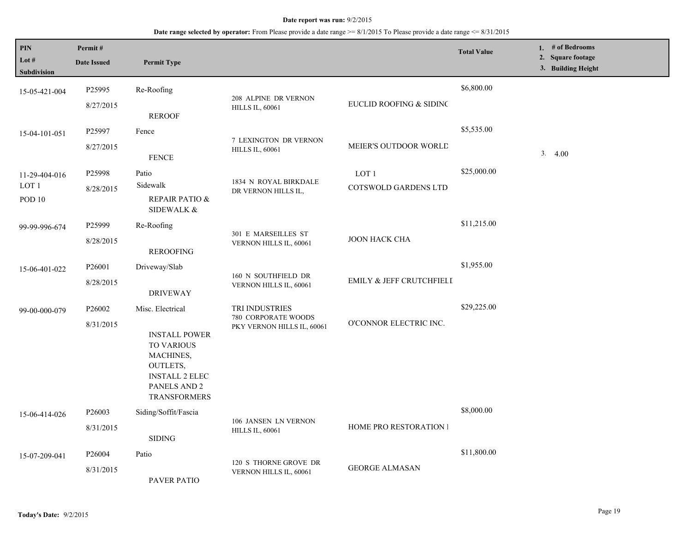| <b>PIN</b><br>Lot $#$<br>Subdivision               | Permit#<br><b>Date Issued</b>   | <b>Permit Type</b>                                                                                                                                     |                                                                     |                                          | <b>Total Value</b> | 1. $#$ of Bedrooms<br>2. Square footage<br>3. Building Height |
|----------------------------------------------------|---------------------------------|--------------------------------------------------------------------------------------------------------------------------------------------------------|---------------------------------------------------------------------|------------------------------------------|--------------------|---------------------------------------------------------------|
| 15-05-421-004                                      | P25995<br>8/27/2015             | Re-Roofing<br><b>REROOF</b>                                                                                                                            | 208 ALPINE DR VERNON<br><b>HILLS IL, 60061</b>                      | EUCLID ROOFING & SIDINC                  | \$6,800.00         |                                                               |
| 15-04-101-051                                      | P25997<br>8/27/2015             | Fence<br><b>FENCE</b>                                                                                                                                  | 7 LEXINGTON DR VERNON<br><b>HILLS IL, 60061</b>                     | MEIER'S OUTDOOR WORLD                    | \$5,535.00         | 3.4.00                                                        |
| 11-29-404-016<br>LOT <sub>1</sub><br><b>POD 10</b> | P25998<br>8/28/2015             | Patio<br>Sidewalk<br>REPAIR PATIO &<br>SIDEWALK &                                                                                                      | 1834 N ROYAL BIRKDALE<br>DR VERNON HILLS IL,                        | LOT <sub>1</sub><br>COTSWOLD GARDENS LTD | \$25,000.00        |                                                               |
| 99-99-996-674                                      | P25999<br>8/28/2015             | Re-Roofing<br><b>REROOFING</b>                                                                                                                         | 301 E MARSEILLES ST<br>VERNON HILLS IL, 60061                       | <b>JOON HACK CHA</b>                     | \$11,215.00        |                                                               |
| 15-06-401-022                                      | P26001<br>8/28/2015             | Driveway/Slab<br><b>DRIVEWAY</b>                                                                                                                       | 160 N SOUTHFIELD DR<br>VERNON HILLS IL, 60061                       | EMILY & JEFF CRUTCHFIELI                 | \$1,955.00         |                                                               |
| 99-00-000-079                                      | P <sub>26002</sub><br>8/31/2015 | Misc. Electrical<br><b>INSTALL POWER</b><br><b>TO VARIOUS</b><br>MACHINES,<br>OUTLETS,<br><b>INSTALL 2 ELEC</b><br>PANELS AND 2<br><b>TRANSFORMERS</b> | TRI INDUSTRIES<br>780 CORPORATE WOODS<br>PKY VERNON HILLS IL, 60061 | O'CONNOR ELECTRIC INC.                   | \$29,225.00        |                                                               |
| 15-06-414-026                                      | P26003<br>8/31/2015             | Siding/Soffit/Fascia<br><b>SIDING</b>                                                                                                                  | 106 JANSEN LN VERNON<br><b>HILLS IL, 60061</b>                      | <b>HOME PRO RESTORATION I</b>            | \$8,000.00         |                                                               |
| 15-07-209-041                                      | P <sub>26004</sub><br>8/31/2015 | Patio<br>PAVER PATIO                                                                                                                                   | 120 S THORNE GROVE DR<br>VERNON HILLS IL, 60061                     | <b>GEORGE ALMASAN</b>                    | \$11,800.00        |                                                               |